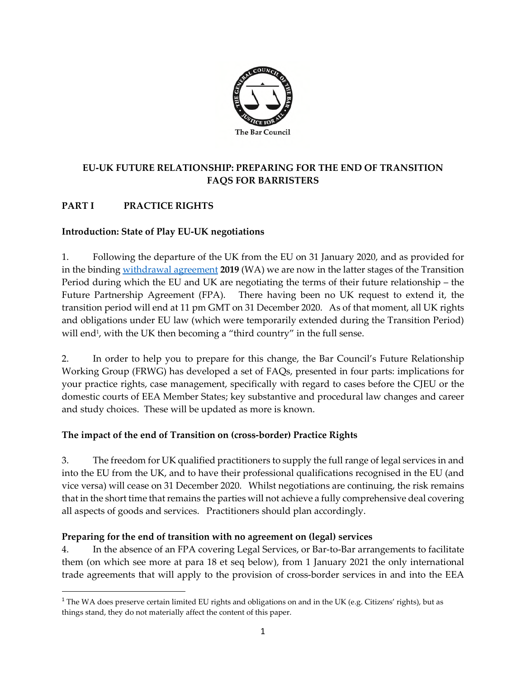

# **EU-UK FUTURE RELATIONSHIP: PREPARING FOR THE END OF TRANSITION FAQS FOR BARRISTERS**

# **PART I PRACTICE RIGHTS**

#### **Introduction: State of Play EU-UK negotiations**

1. Following the departure of the UK from the EU on 31 January 2020, and as provided for in the binding [withdrawal agreement](https://www.gov.uk/government/publications/new-withdrawal-agreement-and-political-declaration) **2019** (WA) we are now in the latter stages of the Transition Period during which the EU and UK are negotiating the terms of their future relationship – the Future Partnership Agreement (FPA). There having been no UK request to extend it, the transition period will end at 11 pm GMT on 31 December 2020. As of that moment, all UK rights and obligations under EU law (which were temporarily extended during the Transition Period) will end<sup>1</sup>, with the UK then becoming a "third country" in the full sense.

2. In order to help you to prepare for this change, the Bar Council's Future Relationship Working Group (FRWG) has developed a set of FAQs, presented in four parts: implications for your practice rights, case management, specifically with regard to cases before the CJEU or the domestic courts of EEA Member States; key substantive and procedural law changes and career and study choices. These will be updated as more is known.

#### **The impact of the end of Transition on (cross-border) Practice Rights**

3. The freedom for UK qualified practitioners to supply the full range of legal services in and into the EU from the UK, and to have their professional qualifications recognised in the EU (and vice versa) will cease on 31 December 2020. Whilst negotiations are continuing, the risk remains that in the short time that remains the parties will not achieve a fully comprehensive deal covering all aspects of goods and services. Practitioners should plan accordingly.

#### **Preparing for the end of transition with no agreement on (legal) services**

4. In the absence of an FPA covering Legal Services, or Bar-to-Bar arrangements to facilitate them (on which see more at para 18 et seq below), from 1 January 2021 the only international trade agreements that will apply to the provision of cross-border services in and into the EEA

<sup>&</sup>lt;sup>1</sup> The WA does preserve certain limited EU rights and obligations on and in the UK (e.g. Citizens' rights), but as things stand, they do not materially affect the content of this paper.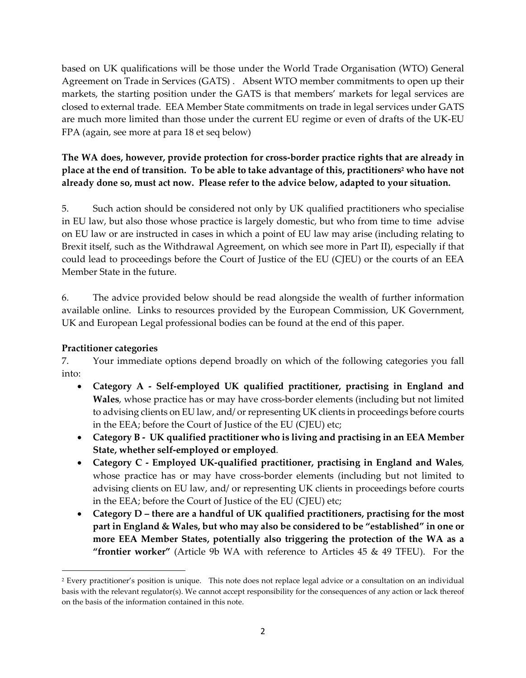based on UK qualifications will be those under the World Trade Organisation (WTO) General Agreement on Trade in Services (GATS) . Absent WTO member commitments to open up their markets, the starting position under the GATS is that members' markets for legal services are closed to external trade. EEA Member State commitments on trade in legal services under GATS are much more limited than those under the current EU regime or even of drafts of the UK-EU FPA (again, see more at para 18 et seq below)

## **The WA does, however, provide protection for cross-border practice rights that are already in place at the end of transition. To be able to take advantage of this, practitioners<sup>2</sup> who have not already done so, must act now. Please refer to the advice below, adapted to your situation.**

5. Such action should be considered not only by UK qualified practitioners who specialise in EU law, but also those whose practice is largely domestic, but who from time to time advise on EU law or are instructed in cases in which a point of EU law may arise (including relating to Brexit itself, such as the Withdrawal Agreement, on which see more in Part II), especially if that could lead to proceedings before the Court of Justice of the EU (CJEU) or the courts of an EEA Member State in the future.

6. The advice provided below should be read alongside the wealth of further information available online. Links to resources provided by the European Commission, UK Government, UK and European Legal professional bodies can be found at the end of this paper.

## **Practitioner categories**

7. Your immediate options depend broadly on which of the following categories you fall into:

- **Category A Self-employed UK qualified practitioner, practising in England and Wales**, whose practice has or may have cross-border elements (including but not limited to advising clients on EU law, and/ or representing UK clients in proceedings before courts in the EEA; before the Court of Justice of the EU (CJEU) etc;
- **Category B UK qualified practitioner who is living and practising in an EEA Member State, whether self-employed or employed**.
- **Category C Employed UK-qualified practitioner, practising in England and Wales**, whose practice has or may have cross-border elements (including but not limited to advising clients on EU law, and/ or representing UK clients in proceedings before courts in the EEA; before the Court of Justice of the EU (CJEU) etc;
- **Category D there are a handful of UK qualified practitioners, practising for the most part in England & Wales, but who may also be considered to be "established" in one or more EEA Member States, potentially also triggering the protection of the WA as a "frontier worker"** (Article 9b WA with reference to Articles 45 & 49 TFEU). For the

<sup>2</sup> Every practitioner's position is unique. This note does not replace legal advice or a consultation on an individual basis with the relevant regulator(s). We cannot accept responsibility for the consequences of any action or lack thereof on the basis of the information contained in this note.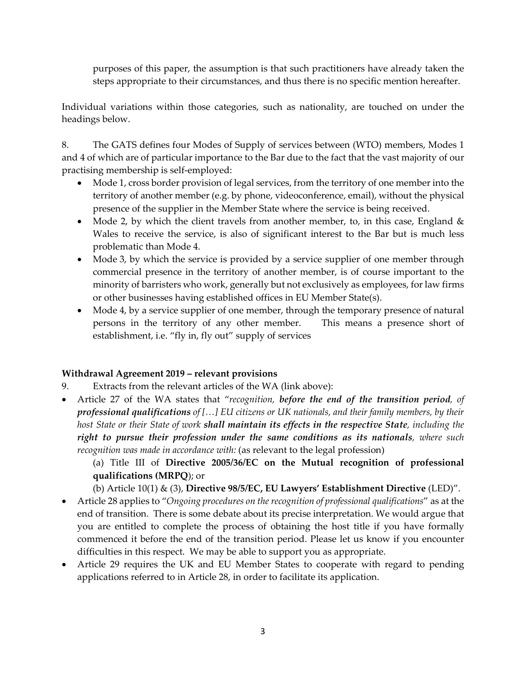purposes of this paper, the assumption is that such practitioners have already taken the steps appropriate to their circumstances, and thus there is no specific mention hereafter.

Individual variations within those categories, such as nationality, are touched on under the headings below.

8. The GATS defines four Modes of Supply of services between (WTO) members, Modes 1 and 4 of which are of particular importance to the Bar due to the fact that the vast majority of our practising membership is self-employed:

- Mode 1, cross border provision of legal services, from the territory of one member into the territory of another member (e.g. by phone, videoconference, email), without the physical presence of the supplier in the Member State where the service is being received.
- Mode 2, by which the client travels from another member, to, in this case, England  $\&$ Wales to receive the service, is also of significant interest to the Bar but is much less problematic than Mode 4.
- Mode 3, by which the service is provided by a service supplier of one member through commercial presence in the territory of another member, is of course important to the minority of barristers who work, generally but not exclusively as employees, for law firms or other businesses having established offices in EU Member State(s).
- Mode 4, by a service supplier of one member, through the temporary presence of natural persons in the territory of any other member. This means a presence short of establishment, i.e. "fly in, fly out" supply of services

## **Withdrawal Agreement 2019 – relevant provisions**

- 9. Extracts from the relevant articles of the WA (link above):
- Article 27 of the WA states that "*recognition, before the end of the transition period, of professional qualifications of […] EU citizens or UK nationals, and their family members, by their host State or their State of work shall maintain its effects in the respective State, including the right to pursue their profession under the same conditions as its nationals, where such recognition was made in accordance with:* (as relevant to the legal profession)
	- (a) Title III of **Directive 2005/36/EC on the Mutual recognition of professional qualifications (MRPQ**); or
	- (b) Article 10(1) & (3), **Directive 98/5/EC, EU Lawyers' Establishment Directive** (LED)".
- Article 28 applies to "*Ongoing procedures on the recognition of professional qualifications*" as at the end of transition. There is some debate about its precise interpretation. We would argue that you are entitled to complete the process of obtaining the host title if you have formally commenced it before the end of the transition period. Please let us know if you encounter difficulties in this respect. We may be able to support you as appropriate.
- Article 29 requires the UK and EU Member States to cooperate with regard to pending applications referred to in Article 28, in order to facilitate its application.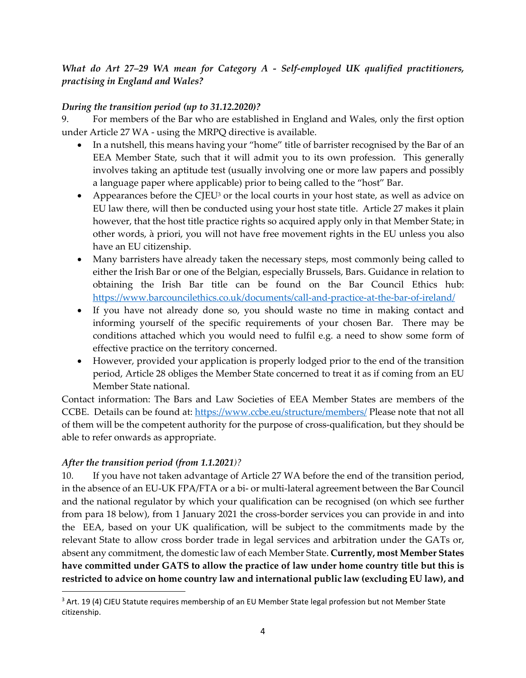*What do Art 27–29 WA mean for Category A - Self-employed UK qualified practitioners, practising in England and Wales?* 

## *During the transition period (up to 31.12.2020)?*

9. For members of the Bar who are established in England and Wales, only the first option under Article 27 WA - using the MRPQ directive is available.

- In a nutshell, this means having your "home" title of barrister recognised by the Bar of an EEA Member State, such that it will admit you to its own profession. This generally involves taking an aptitude test (usually involving one or more law papers and possibly a language paper where applicable) prior to being called to the "host" Bar.
- Appearances before the CJEU<sup>3</sup> or the local courts in your host state, as well as advice on EU law there, will then be conducted using your host state title. Article 27 makes it plain however, that the host title practice rights so acquired apply only in that Member State; in other words, à priori, you will not have free movement rights in the EU unless you also have an EU citizenship.
- Many barristers have already taken the necessary steps, most commonly being called to either the Irish Bar or one of the Belgian, especially Brussels, Bars. Guidance in relation to obtaining the Irish Bar title can be found on the Bar Council Ethics hub: <https://www.barcouncilethics.co.uk/documents/call-and-practice-at-the-bar-of-ireland/>
- If you have not already done so, you should waste no time in making contact and informing yourself of the specific requirements of your chosen Bar. There may be conditions attached which you would need to fulfil e.g. a need to show some form of effective practice on the territory concerned.
- However, provided your application is properly lodged prior to the end of the transition period, Article 28 obliges the Member State concerned to treat it as if coming from an EU Member State national.

Contact information: The Bars and Law Societies of EEA Member States are members of the CCBE. Details can be found at:<https://www.ccbe.eu/structure/members/> Please note that not all of them will be the competent authority for the purpose of cross-qualification, but they should be able to refer onwards as appropriate.

## *After the transition period (from 1.1.2021)?*

10. If you have not taken advantage of Article 27 WA before the end of the transition period, in the absence of an EU-UK FPA/FTA or a bi- or multi-lateral agreement between the Bar Council and the national regulator by which your qualification can be recognised (on which see further from para 18 below), from 1 January 2021 the cross-border services you can provide in and into the EEA, based on your UK qualification, will be subject to the commitments made by the relevant State to allow cross border trade in legal services and arbitration under the GATs or, absent any commitment, the domestic law of each Member State. **Currently, most Member States have committed under GATS to allow the practice of law under home country title but this is restricted to advice on home country law and international public law (excluding EU law), and** 

<sup>&</sup>lt;sup>3</sup> Art. 19 (4) CJEU Statute requires membership of an EU Member State legal profession but not Member State citizenship.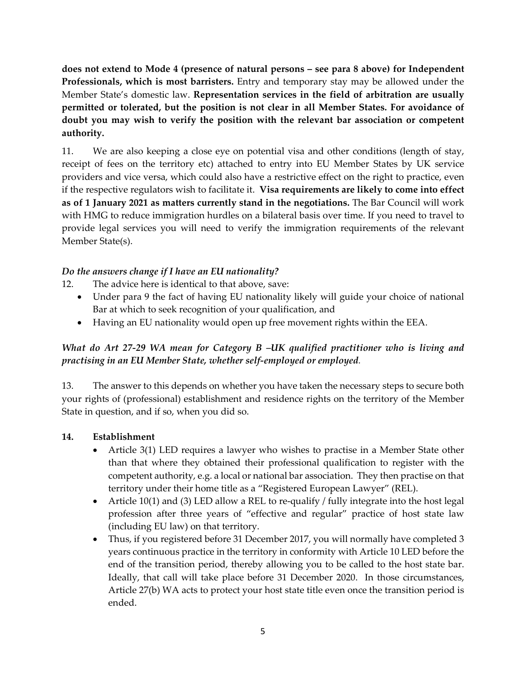**does not extend to Mode 4 (presence of natural persons – see para 8 above) for Independent Professionals, which is most barristers.** Entry and temporary stay may be allowed under the Member State's domestic law. **Representation services in the field of arbitration are usually permitted or tolerated, but the position is not clear in all Member States. For avoidance of doubt you may wish to verify the position with the relevant bar association or competent authority.**

11. We are also keeping a close eye on potential visa and other conditions (length of stay, receipt of fees on the territory etc) attached to entry into EU Member States by UK service providers and vice versa, which could also have a restrictive effect on the right to practice, even if the respective regulators wish to facilitate it. **Visa requirements are likely to come into effect as of 1 January 2021 as matters currently stand in the negotiations.** The Bar Council will work with HMG to reduce immigration hurdles on a bilateral basis over time. If you need to travel to provide legal services you will need to verify the immigration requirements of the relevant Member State(s).

### *Do the answers change if I have an EU nationality?*

12. The advice here is identical to that above, save:

- Under para 9 the fact of having EU nationality likely will guide your choice of national Bar at which to seek recognition of your qualification, and
- Having an EU nationality would open up free movement rights within the EEA.

## *What do Art 27-29 WA mean for Category B –UK qualified practitioner who is living and practising in an EU Member State, whether self-employed or employed.*

13. The answer to this depends on whether you have taken the necessary steps to secure both your rights of (professional) establishment and residence rights on the territory of the Member State in question, and if so, when you did so.

#### **14. Establishment**

- Article 3(1) LED requires a lawyer who wishes to practise in a Member State other than that where they obtained their professional qualification to register with the competent authority, e.g. a local or national bar association. They then practise on that territory under their home title as a "Registered European Lawyer" (REL).
- Article 10(1) and (3) LED allow a REL to re-qualify / fully integrate into the host legal profession after three years of "effective and regular" practice of host state law (including EU law) on that territory.
- Thus, if you registered before 31 December 2017, you will normally have completed 3 years continuous practice in the territory in conformity with Article 10 LED before the end of the transition period, thereby allowing you to be called to the host state bar. Ideally, that call will take place before 31 December 2020. In those circumstances, Article 27(b) WA acts to protect your host state title even once the transition period is ended.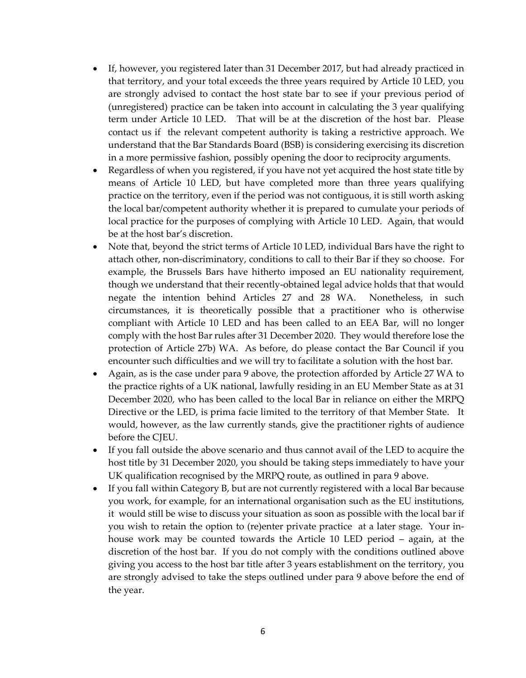- If, however, you registered later than 31 December 2017, but had already practiced in that territory, and your total exceeds the three years required by Article 10 LED, you are strongly advised to contact the host state bar to see if your previous period of (unregistered) practice can be taken into account in calculating the 3 year qualifying term under Article 10 LED. That will be at the discretion of the host bar. Please contact us if the relevant competent authority is taking a restrictive approach. We understand that the Bar Standards Board (BSB) is considering exercising its discretion in a more permissive fashion, possibly opening the door to reciprocity arguments.
- Regardless of when you registered, if you have not yet acquired the host state title by means of Article 10 LED, but have completed more than three years qualifying practice on the territory, even if the period was not contiguous, it is still worth asking the local bar/competent authority whether it is prepared to cumulate your periods of local practice for the purposes of complying with Article 10 LED. Again, that would be at the host bar's discretion.
- Note that, beyond the strict terms of Article 10 LED, individual Bars have the right to attach other, non-discriminatory, conditions to call to their Bar if they so choose. For example, the Brussels Bars have hitherto imposed an EU nationality requirement, though we understand that their recently-obtained legal advice holds that that would negate the intention behind Articles 27 and 28 WA. Nonetheless, in such circumstances, it is theoretically possible that a practitioner who is otherwise compliant with Article 10 LED and has been called to an EEA Bar, will no longer comply with the host Bar rules after 31 December 2020. They would therefore lose the protection of Article 27b) WA. As before, do please contact the Bar Council if you encounter such difficulties and we will try to facilitate a solution with the host bar.
- Again, as is the case under para 9 above, the protection afforded by Article 27 WA to the practice rights of a UK national, lawfully residing in an EU Member State as at 31 December 2020, who has been called to the local Bar in reliance on either the MRPQ Directive or the LED, is prima facie limited to the territory of that Member State. It would, however, as the law currently stands, give the practitioner rights of audience before the CJEU.
- If you fall outside the above scenario and thus cannot avail of the LED to acquire the host title by 31 December 2020, you should be taking steps immediately to have your UK qualification recognised by the MRPQ route, as outlined in para 9 above.
- If you fall within Category B, but are not currently registered with a local Bar because you work, for example, for an international organisation such as the EU institutions, it would still be wise to discuss your situation as soon as possible with the local bar if you wish to retain the option to (re)enter private practice at a later stage. Your inhouse work may be counted towards the Article 10 LED period – again, at the discretion of the host bar. If you do not comply with the conditions outlined above giving you access to the host bar title after 3 years establishment on the territory, you are strongly advised to take the steps outlined under para 9 above before the end of the year.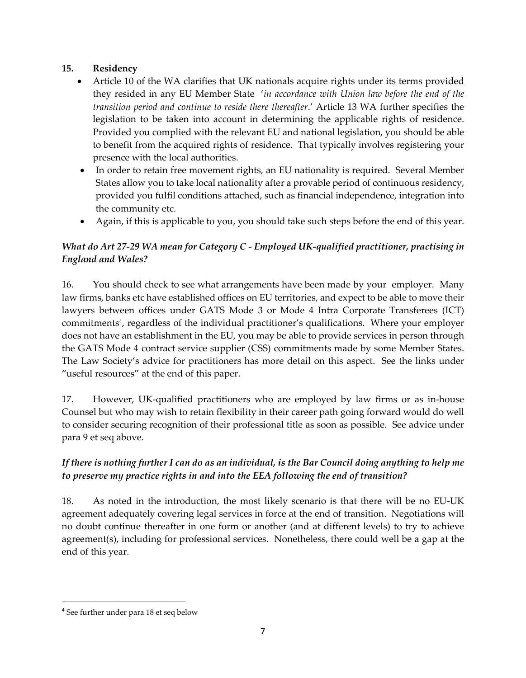### **15. Residency**

- Article 10 of the WA clarifies that UK nationals acquire rights under its terms provided they resided in any EU Member State '*in accordance with Union law before the end of the transition period and continue to reside there thereafter*.' Article 13 WA further specifies the legislation to be taken into account in determining the applicable rights of residence. Provided you complied with the relevant EU and national legislation, you should be able to benefit from the acquired rights of residence. That typically involves registering your presence with the local authorities.
- In order to retain free movement rights, an EU nationality is required. Several Member States allow you to take local nationality after a provable period of continuous residency, provided you fulfil conditions attached, such as financial independence, integration into the community etc.
- Again, if this is applicable to you, you should take such steps before the end of this year.

# *What do Art 27-29 WA mean for Category C - Employed UK-qualified practitioner, practising in England and Wales?*

16. You should check to see what arrangements have been made by your employer. Many law firms, banks etc have established offices on EU territories, and expect to be able to move their lawyers between offices under GATS Mode 3 or Mode 4 Intra Corporate Transferees (ICT) commitments<sup>4</sup>, regardless of the individual practitioner's qualifications. Where your employer does not have an establishment in the EU, you may be able to provide services in person through the GATS Mode 4 contract service supplier (CSS) commitments made by some Member States. The Law Society's advice for practitioners has more detail on this aspect. See the links under "useful resources" at the end of this paper.

17. However, UK-qualified practitioners who are employed by law firms or as in-house Counsel but who may wish to retain flexibility in their career path going forward would do well to consider securing recognition of their professional title as soon as possible. See advice under para 9 et seq above.

## *If there is nothing further I can do as an individual, is the Bar Council doing anything to help me to preserve my practice rights in and into the EEA following the end of transition?*

18. As noted in the introduction, the most likely scenario is that there will be no EU-UK agreement adequately covering legal services in force at the end of transition. Negotiations will no doubt continue thereafter in one form or another (and at different levels) to try to achieve agreement(s), including for professional services. Nonetheless, there could well be a gap at the end of this year.

<sup>4</sup> See further under para 18 et seq below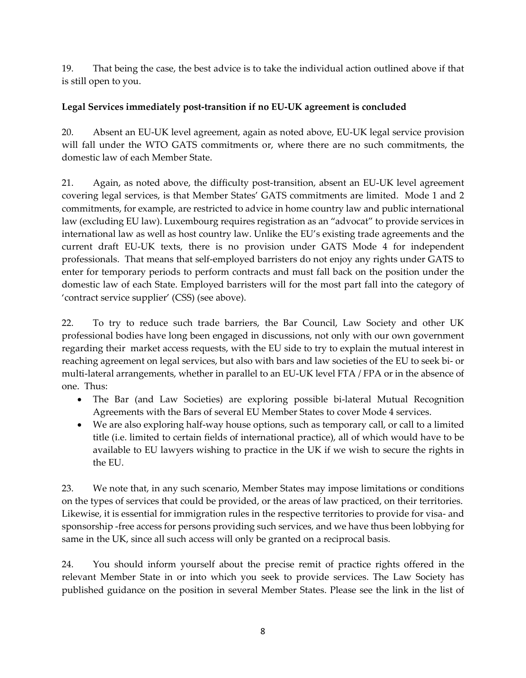19. That being the case, the best advice is to take the individual action outlined above if that is still open to you.

### **Legal Services immediately post-transition if no EU-UK agreement is concluded**

20. Absent an EU-UK level agreement, again as noted above, EU-UK legal service provision will fall under the WTO GATS commitments or, where there are no such commitments, the domestic law of each Member State.

21. Again, as noted above, the difficulty post-transition, absent an EU-UK level agreement covering legal services, is that Member States' GATS commitments are limited. Mode 1 and 2 commitments, for example, are restricted to advice in home country law and public international law (excluding EU law). Luxembourg requires registration as an "advocat" to provide services in international law as well as host country law. Unlike the EU's existing trade agreements and the current draft EU-UK texts, there is no provision under GATS Mode 4 for independent professionals. That means that self-employed barristers do not enjoy any rights under GATS to enter for temporary periods to perform contracts and must fall back on the position under the domestic law of each State. Employed barristers will for the most part fall into the category of 'contract service supplier' (CSS) (see above).

22. To try to reduce such trade barriers, the Bar Council, Law Society and other UK professional bodies have long been engaged in discussions, not only with our own government regarding their market access requests, with the EU side to try to explain the mutual interest in reaching agreement on legal services, but also with bars and law societies of the EU to seek bi- or multi-lateral arrangements, whether in parallel to an EU-UK level FTA / FPA or in the absence of one. Thus:

- The Bar (and Law Societies) are exploring possible bi-lateral Mutual Recognition Agreements with the Bars of several EU Member States to cover Mode 4 services.
- We are also exploring half-way house options, such as temporary call, or call to a limited title (i.e. limited to certain fields of international practice), all of which would have to be available to EU lawyers wishing to practice in the UK if we wish to secure the rights in the EU.

23. We note that, in any such scenario, Member States may impose limitations or conditions on the types of services that could be provided, or the areas of law practiced, on their territories. Likewise, it is essential for immigration rules in the respective territories to provide for visa- and sponsorship -free access for persons providing such services, and we have thus been lobbying for same in the UK, since all such access will only be granted on a reciprocal basis.

24. You should inform yourself about the precise remit of practice rights offered in the relevant Member State in or into which you seek to provide services. The Law Society has published guidance on the position in several Member States. Please see the link in the list of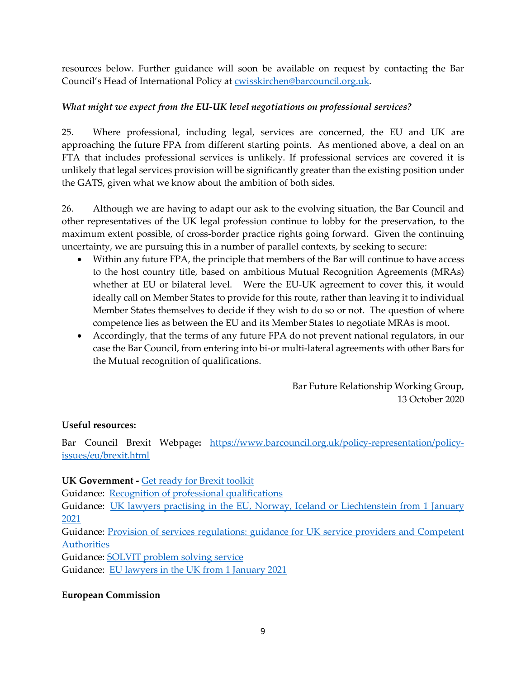resources below. Further guidance will soon be available on request by contacting the Bar Council's Head of International Policy at [cwisskirchen@barcouncil.org.uk.](mailto:cwisskirchen@barcouncil.org.uk)

### *What might we expect from the EU-UK level negotiations on professional services?*

25. Where professional, including legal, services are concerned, the EU and UK are approaching the future FPA from different starting points. As mentioned above, a deal on an FTA that includes professional services is unlikely. If professional services are covered it is unlikely that legal services provision will be significantly greater than the existing position under the GATS, given what we know about the ambition of both sides.

26. Although we are having to adapt our ask to the evolving situation, the Bar Council and other representatives of the UK legal profession continue to lobby for the preservation, to the maximum extent possible, of cross-border practice rights going forward. Given the continuing uncertainty, we are pursuing this in a number of parallel contexts, by seeking to secure:

- Within any future FPA, the principle that members of the Bar will continue to have access to the host country title, based on ambitious Mutual Recognition Agreements (MRAs) whether at EU or bilateral level. Were the EU-UK agreement to cover this, it would ideally call on Member States to provide for this route, rather than leaving it to individual Member States themselves to decide if they wish to do so or not. The question of where competence lies as between the EU and its Member States to negotiate MRAs is moot.
- Accordingly, that the terms of any future FPA do not prevent national regulators, in our case the Bar Council, from entering into bi-or multi-lateral agreements with other Bars for the Mutual recognition of qualifications.

Bar Future Relationship Working Group, 13 October 2020

#### **Useful resources:**

Bar Council Brexit Webpage**:** [https://www.barcouncil.org.uk/policy-representation/policy](https://www.barcouncil.org.uk/policy-representation/policy-issues/eu/brexit.html)[issues/eu/brexit.html](https://www.barcouncil.org.uk/policy-representation/policy-issues/eu/brexit.html) 

#### **UK Government -** [Get ready for Brexit toolkit](https://www.lawsoc-ni.org/DatabaseDocs/new_9598126__mojget_readytoolkitfinal.pdf)

Guidance: [Recognition of professional qualifications](https://www.gov.uk/guidance/providing-services-to-any-country-in-the-eu-iceland-liechtenstein-norway-or-switzerland-after-eu-exit#recognition-of-professional-qualifications) 

Guidance: UK lawyers practising in the EU, Norway, Iceland or Liechtenstein from 1 January [2021](https://www.gov.uk/government/publications/uk-lawyers-practising-in-the-eu-norway-iceland-or-liechtenstein-from-1-january-2021) 

[Guidance: Provision of services regulations: guidance for UK service providers and Competent](https://www.gov.uk/government/publications/provision-of-services-regulations-guidance-for-uk-service-providers-and-competent-authorities)  **Authorities** 

Guidance[: SOLVIT problem solving service](https://www.gov.uk/government/groups/uk-single-market-centre#solvit-problem-solving-service) 

Guidance: EU lawyers in the UK from 1 January 2021

#### **European Commission**